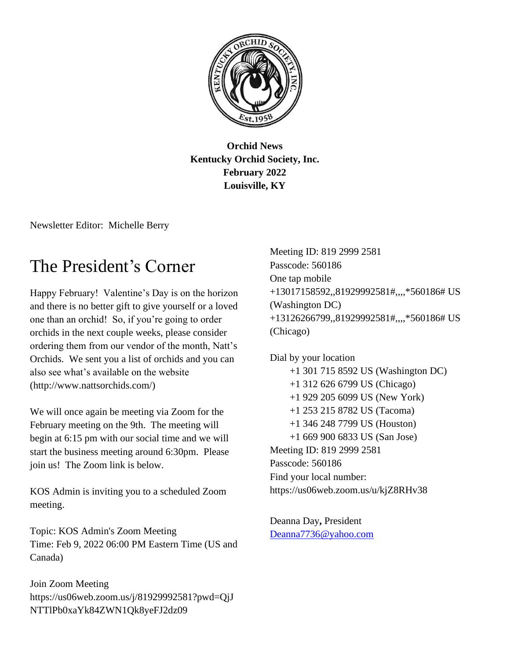

**Orchid News Kentucky Orchid Society, Inc. February 2022 Louisville, KY**

Newsletter Editor: Michelle Berry

## The President's Corner

Happy February! Valentine's Day is on the horizon and there is no better gift to give yourself or a loved one than an orchid! So, if you're going to order orchids in the next couple weeks, please consider ordering them from our vendor of the month, Natt's Orchids. We sent you a list of orchids and you can also see what's available on the website (http://www.nattsorchids.com/)

We will once again be meeting via Zoom for the February meeting on the 9th. The meeting will begin at 6:15 pm with our social time and we will start the business meeting around 6:30pm. Please join us! The Zoom link is below.

KOS Admin is inviting you to a scheduled Zoom meeting.

Topic: KOS Admin's Zoom Meeting Time: Feb 9, 2022 06:00 PM Eastern Time (US and Canada)

Join Zoom Meeting https://us06web.zoom.us/j/81929992581?pwd=QjJ NTTlPb0xaYk84ZWN1Qk8yeFJ2dz09

Meeting ID: 819 2999 2581 Passcode: 560186 One tap mobile +13017158592,,81929992581#,,,,\*560186# US (Washington DC) +13126266799,,81929992581#,,,,\*560186# US (Chicago)

Dial by your location +1 301 715 8592 US (Washington DC) +1 312 626 6799 US (Chicago) +1 929 205 6099 US (New York) +1 253 215 8782 US (Tacoma) +1 346 248 7799 US (Houston) +1 669 900 6833 US (San Jose) Meeting ID: 819 2999 2581 Passcode: 560186 Find your local number: https://us06web.zoom.us/u/kjZ8RHv38

Deanna Day**,** President [Deanna7736@yahoo.com](mailto:Deanna7736@yahoo.com)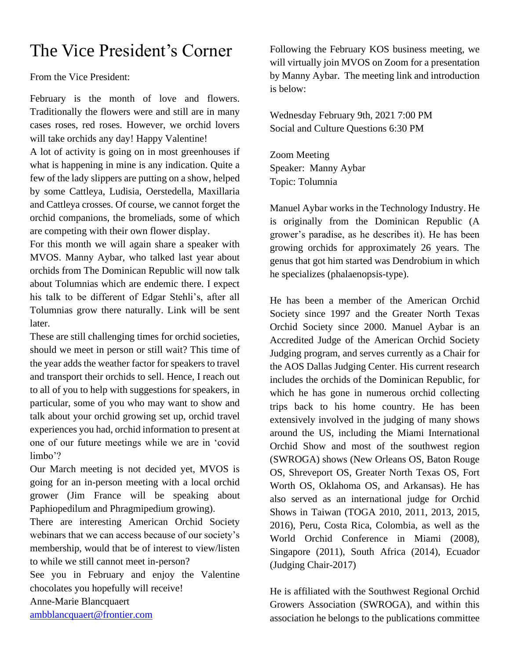## The Vice President's Corner

From the Vice President:

February is the month of love and flowers. Traditionally the flowers were and still are in many cases roses, red roses. However, we orchid lovers will take orchids any day! Happy Valentine!

A lot of activity is going on in most greenhouses if what is happening in mine is any indication. Quite a few of the lady slippers are putting on a show, helped by some Cattleya, Ludisia, Oerstedella, Maxillaria and Cattleya crosses. Of course, we cannot forget the orchid companions, the bromeliads, some of which are competing with their own flower display.

For this month we will again share a speaker with MVOS. Manny Aybar, who talked last year about orchids from The Dominican Republic will now talk about Tolumnias which are endemic there. I expect his talk to be different of Edgar Stehli's, after all Tolumnias grow there naturally. Link will be sent later.

These are still challenging times for orchid societies, should we meet in person or still wait? This time of the year adds the weather factor for speakers to travel and transport their orchids to sell. Hence, I reach out to all of you to help with suggestions for speakers, in particular, some of you who may want to show and talk about your orchid growing set up, orchid travel experiences you had, orchid information to present at one of our future meetings while we are in 'covid limbo'?

Our March meeting is not decided yet, MVOS is going for an in-person meeting with a local orchid grower (Jim France will be speaking about Paphiopedilum and Phragmipedium growing).

There are interesting American Orchid Society webinars that we can access because of our society's membership, would that be of interest to view/listen to while we still cannot meet in-person?

See you in February and enjoy the Valentine chocolates you hopefully will receive!

Anne-Marie Blancquaert

[ambblancquaert@frontier.com](mailto:ambblancquaert@frontier.com)

Following the February KOS business meeting, we will virtually join MVOS on Zoom for a presentation by Manny Aybar. The meeting link and introduction is below:

Wednesday February 9th, 2021 7:00 PM Social and Culture Questions 6:30 PM

Zoom Meeting Speaker: Manny Aybar Topic: Tolumnia

Manuel Aybar works in the Technology Industry. He is originally from the Dominican Republic (A grower's paradise, as he describes it). He has been growing orchids for approximately 26 years. The genus that got him started was Dendrobium in which he specializes (phalaenopsis-type).

He has been a member of the American Orchid Society since 1997 and the Greater North Texas Orchid Society since 2000. Manuel Aybar is an Accredited Judge of the American Orchid Society Judging program, and serves currently as a Chair for the AOS Dallas Judging Center. His current research includes the orchids of the Dominican Republic, for which he has gone in numerous orchid collecting trips back to his home country. He has been extensively involved in the judging of many shows around the US, including the Miami International Orchid Show and most of the southwest region (SWROGA) shows (New Orleans OS, Baton Rouge OS, Shreveport OS, Greater North Texas OS, Fort Worth OS, Oklahoma OS, and Arkansas). He has also served as an international judge for Orchid Shows in Taiwan (TOGA 2010, 2011, 2013, 2015, 2016), Peru, Costa Rica, Colombia, as well as the World Orchid Conference in Miami (2008), Singapore (2011), South Africa (2014), Ecuador (Judging Chair-2017)

He is affiliated with the Southwest Regional Orchid Growers Association (SWROGA), and within this association he belongs to the publications committee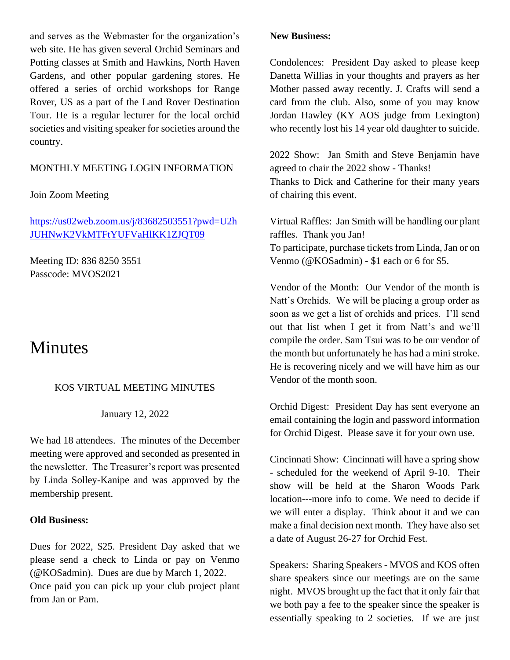and serves as the Webmaster for the organization's web site. He has given several Orchid Seminars and Potting classes at Smith and Hawkins, North Haven Gardens, and other popular gardening stores. He offered a series of orchid workshops for Range Rover, US as a part of the Land Rover Destination Tour. He is a regular lecturer for the local orchid societies and visiting speaker for societies around the country.

#### MONTHLY MEETING LOGIN INFORMATION

#### Join Zoom Meeting

[https://us02web.zoom.us/j/83682503551?pwd=U2h](https://us02web.zoom.us/j/83682503551?pwd=U2hJUHNwK2VkMTFtYUFVaHlKK1ZJQT09) [JUHNwK2VkMTFtYUFVaHlKK1ZJQT09](https://us02web.zoom.us/j/83682503551?pwd=U2hJUHNwK2VkMTFtYUFVaHlKK1ZJQT09)

Meeting ID: 836 8250 3551 Passcode: MVOS2021

### **Minutes**

#### KOS VIRTUAL MEETING MINUTES

January 12, 2022

We had 18 attendees. The minutes of the December meeting were approved and seconded as presented in the newsletter. The Treasurer's report was presented by Linda Solley-Kanipe and was approved by the membership present.

#### **Old Business:**

Dues for 2022, \$25. President Day asked that we please send a check to Linda or pay on Venmo (@KOSadmin). Dues are due by March 1, 2022. Once paid you can pick up your club project plant from Jan or Pam.

#### **New Business:**

Condolences: President Day asked to please keep Danetta Willias in your thoughts and prayers as her Mother passed away recently. J. Crafts will send a card from the club. Also, some of you may know Jordan Hawley (KY AOS judge from Lexington) who recently lost his 14 year old daughter to suicide.

2022 Show: Jan Smith and Steve Benjamin have agreed to chair the 2022 show - Thanks! Thanks to Dick and Catherine for their many years of chairing this event.

Virtual Raffles: Jan Smith will be handling our plant raffles. Thank you Jan! To participate, purchase tickets from Linda, Jan or on Venmo (@KOSadmin) - \$1 each or 6 for \$5.

Vendor of the Month: Our Vendor of the month is Natt's Orchids. We will be placing a group order as soon as we get a list of orchids and prices. I'll send out that list when I get it from Natt's and we'll compile the order. Sam Tsui was to be our vendor of the month but unfortunately he has had a mini stroke. He is recovering nicely and we will have him as our Vendor of the month soon.

Orchid Digest: President Day has sent everyone an email containing the login and password information for Orchid Digest. Please save it for your own use.

Cincinnati Show: Cincinnati will have a spring show - scheduled for the weekend of April 9-10. Their show will be held at the Sharon Woods Park location---more info to come. We need to decide if we will enter a display. Think about it and we can make a final decision next month. They have also set a date of August 26-27 for Orchid Fest.

Speakers: Sharing Speakers - MVOS and KOS often share speakers since our meetings are on the same night. MVOS brought up the fact that it only fair that we both pay a fee to the speaker since the speaker is essentially speaking to 2 societies. If we are just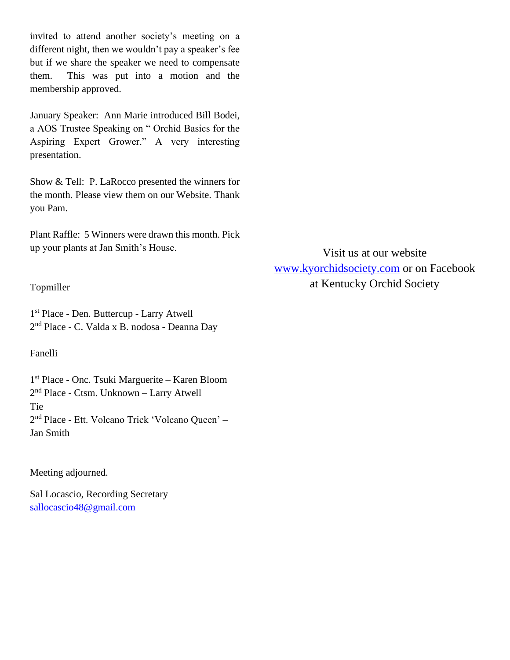invited to attend another society's meeting on a different night, then we wouldn't pay a speaker's fee but if we share the speaker we need to compensate them. This was put into a motion and the membership approved.

January Speaker: Ann Marie introduced Bill Bodei, a AOS Trustee Speaking on " Orchid Basics for the Aspiring Expert Grower." A very interesting presentation.

Show & Tell: P. LaRocco presented the winners for the month. Please view them on our Website. Thank you Pam.

Plant Raffle: 5 Winners were drawn this month. Pick up your plants at Jan Smith's House.

Visit us at our website [www.kyorchidsociety.com](http://www.kyorchidsociety.com/) or on Facebook at Kentucky Orchid Society

#### Topmiller

1 st Place - Den. Buttercup - Larry Atwell 2 nd Place - C. Valda x B. nodosa - Deanna Day

Fanelli

1 st Place - Onc. Tsuki Marguerite – Karen Bloom 2 nd Place - Ctsm. Unknown – Larry Atwell Tie 2<sup>nd</sup> Place - Ett. Volcano Trick 'Volcano Queen' – Jan Smith

#### Meeting adjourned.

Sal Locascio, Recording Secretary [sallocascio48@gmail.com](mailto:sallocascio48@gmail.com)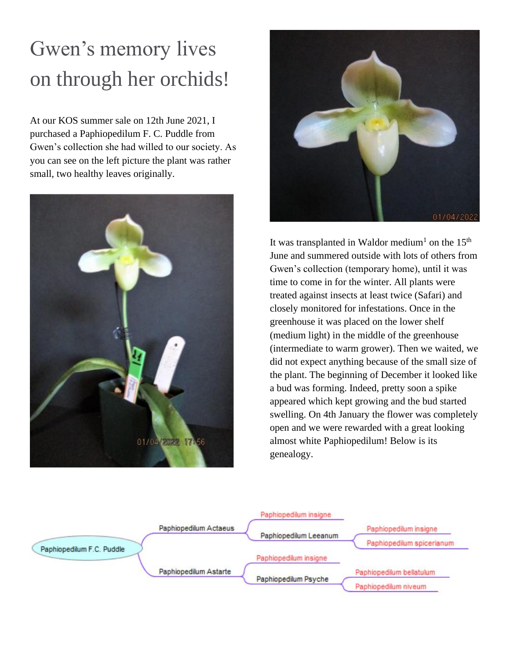# Gwen's memory lives on through her orchids!

At our KOS summer sale on 12th June 2021, I purchased a Paphiopedilum F. C. Puddle from Gwen's collection she had willed to our society. As you can see on the left picture the plant was rather small, two healthy leaves originally.





It was transplanted in Waldor medium<sup>1</sup> on the  $15<sup>th</sup>$ June and summered outside with lots of others from Gwen's collection (temporary home), until it was time to come in for the winter. All plants were treated against insects at least twice (Safari) and closely monitored for infestations. Once in the greenhouse it was placed on the lower shelf (medium light) in the middle of the greenhouse (intermediate to warm grower). Then we waited, we did not expect anything because of the small size of the plant. The beginning of December it looked like a bud was forming. Indeed, pretty soon a spike appeared which kept growing and the bud started swelling. On 4th January the flower was completely open and we were rewarded with a great looking almost white Paphiopedilum! Below is its genealogy.

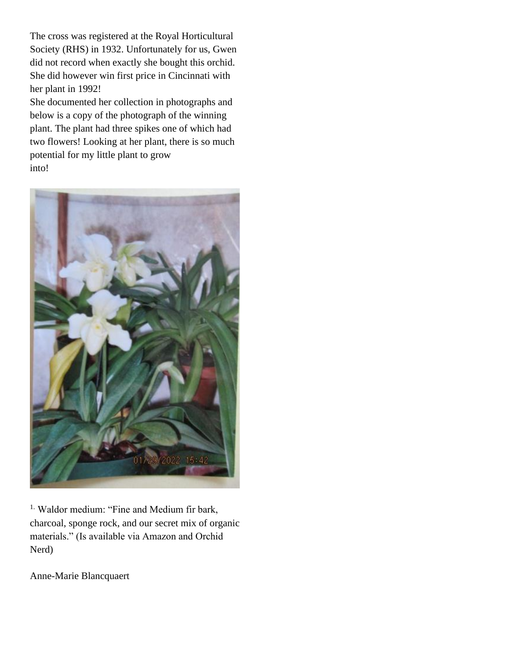The cross was registered at the Royal Horticultural Society (RHS) in 1932. Unfortunately for us, Gwen did not record when exactly she bought this orchid. She did however win first price in Cincinnati with her plant in 1992!

She documented her collection in photographs and below is a copy of the photograph of the winning plant. The plant had three spikes one of which had two flowers! Looking at her plant, there is so much potential for my little plant to grow into!



<sup>1.</sup> Waldor medium: "Fine and Medium fir bark, charcoal, sponge rock, and our secret mix of organic materials." (Is available via Amazon and Orchid Nerd)

Anne-Marie Blancquaert